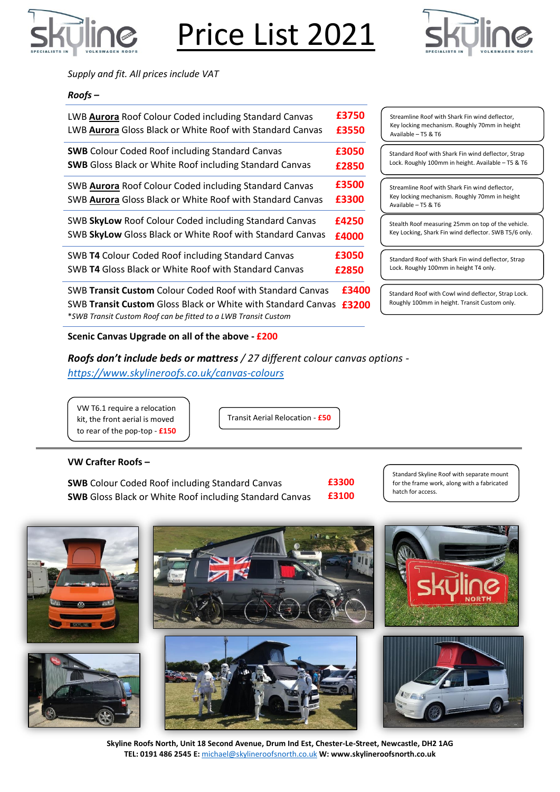

Price List 2021



*Supply and fit. All prices include VAT*

### *Roofs –*

| LWB <b>Aurora</b> Roof Colour Coded including Standard Canvas  | £3750 |
|----------------------------------------------------------------|-------|
| LWB Aurora Gloss Black or White Roof with Standard Canvas      | £3550 |
| <b>SWB</b> Colour Coded Roof including Standard Canvas         | £3050 |
| <b>SWB</b> Gloss Black or White Roof including Standard Canvas | £2850 |
| SWB Aurora Roof Colour Coded including Standard Canvas         | £3500 |
| SWB Aurora Gloss Black or White Roof with Standard Canvas      | £3300 |
| SWB SkyLow Roof Colour Coded including Standard Canvas         | £4250 |
| SWB SkyLow Gloss Black or White Roof with Standard Canvas      | £4000 |
| SWB T4 Colour Coded Roof including Standard Canvas             | £3050 |
| SWB T4 Gloss Black or White Roof with Standard Canvas          | £2850 |

SWB **Transit Custom** Colour Coded Roof with Standard Canvas SWB **Transit Custom** Gloss Black or White with Standard Canvas **£3200** \**SWB Transit Custom Roof can be fitted to a LWB Transit Custom* **£3400**

### **Scenic Canvas Upgrade on all of the above - £200**

*Roofs don't include beds or mattress / 27 different colour canvas options <https://www.skylineroofs.co.uk/canvas-colours>*

VW T6.1 require a relocation kit, the front aerial is moved to rear of the pop-top - **£150**

Transit Aerial Relocation - **£50**

#### **VW Crafter Roofs –**

**SWB** Colour Coded Roof including Standard Canvas **SWB** Gloss Black or White Roof including Standard Canvas **£3300 £3100** Standard Skyline Roof with separate mount for the frame work, along with a fabricated hatch for access.



**Skyline Roofs North, Unit 18 Second Avenue, Drum Ind Est, Chester-Le-Street, Newcastle, DH2 1AG TEL: 0191 486 2545 E:** [michael@skylineroofsnorth.co.uk](mailto:michael@skylineroofsnorth.co.uk) **W: www.skylineroofsnorth.co.uk**

Streamline Roof with Shark Fin wind deflector, Key locking mechanism. Roughly 70mm in height Available – T5 & T6

Standard Roof with Shark Fin wind deflector, Strap Lock. Roughly 100mm in height. Available – T5 & T6

Streamline Roof with Shark Fin wind deflector, Key locking mechanism. Roughly 70mm in height Available – T5 & T6

Stealth Roof measuring 25mm on top of the vehicle. Key Locking, Shark Fin wind deflector. SWB T5/6 only.

Standard Roof with Shark Fin wind deflector, Strap Lock. Roughly 100mm in height T4 only.

Standard Roof with Cowl wind deflector, Strap Lock. Roughly 100mm in height. Transit Custom only.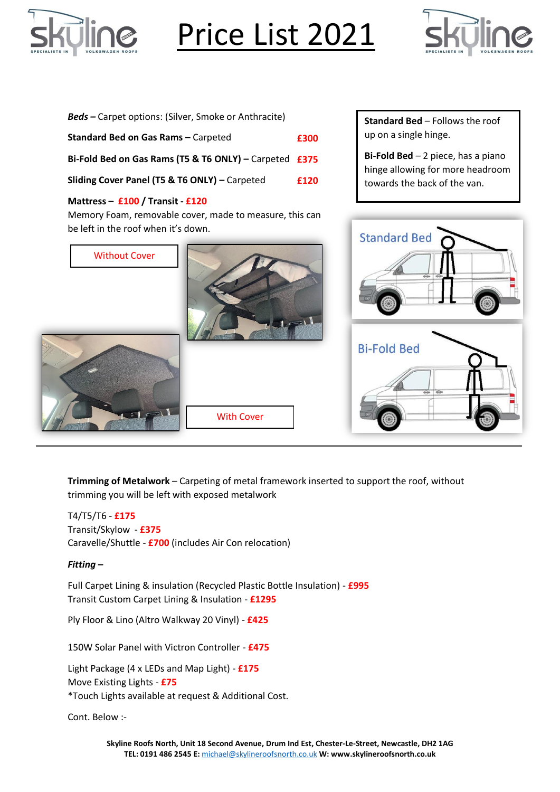

# Price List 2021



| <b>Beds</b> – Carpet options: (Silver, Smoke or Anthracite)                                                                        |      | <b>Standard Bed - Follows the roof</b>                                         |
|------------------------------------------------------------------------------------------------------------------------------------|------|--------------------------------------------------------------------------------|
| Standard Bed on Gas Rams - Carpeted                                                                                                | £300 | up on a single hinge.                                                          |
| Bi-Fold Bed on Gas Rams (T5 & T6 ONLY) - Carpeted £375                                                                             |      | <b>Bi-Fold Bed</b> $-2$ piece, has a piano<br>hinge allowing for more headroom |
| Sliding Cover Panel (T5 & T6 ONLY) - Carpeted                                                                                      | £120 | towards the back of the van.                                                   |
| Mattress - £100 / Transit - £120<br>Memory Foam, removable cover, made to measure, this can<br>be left in the roof when it's down. |      |                                                                                |
| <b>Without Cover</b>                                                                                                               |      | <b>Standard Bed</b>                                                            |
| <b>With Cover</b>                                                                                                                  |      | <b>Bi-Fold Bed</b><br>$\overline{\leftarrow}$                                  |

**Trimming of Metalwork** – Carpeting of metal framework inserted to support the roof, without trimming you will be left with exposed metalwork

T4/T5/T6 - **£175** Transit/Skylow - **£375** Caravelle/Shuttle - **£700** (includes Air Con relocation)

### *Fitting –*

Full Carpet Lining & insulation (Recycled Plastic Bottle Insulation) - **£995** Transit Custom Carpet Lining & Insulation - **£1295**

Ply Floor & Lino (Altro Walkway 20 Vinyl) - **£425**

150W Solar Panel with Victron Controller - **£475**

Light Package (4 x LEDs and Map Light) - **£175** Move Existing Lights - **£75** \*Touch Lights available at request & Additional Cost.

Cont. Below :-